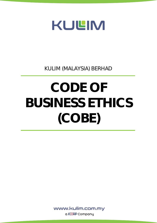

KULIM (MALAYSIA) BERHAD

# CODE OF BUSINESS ETHICS (COBE)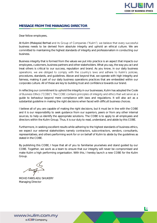

## MESSAGE FROM THE MANAGING DIRECTOR

Dear fellow employees,

j

At Kulim (Malaysia) Berhad and its Group of Companies ("Kulim"), we believe that every successful business needs to be derived from absolute integrity and uphold an ethical culture. We are committed to maintaining the highest standards of integrity and professionalism in conducting our business.

Business integrity that is formed from the values we put into practice is an aspect that impacts our employees, customers, business partners and other stakeholders. What you say, the way you act and treat others is critical to our success, reputation and brand. As you know, in our daily business operations, we are obliged to comply with the country's laws and adhere to Kulim's policies, procedures, standards, and guidelines. Above and beyond that, we operate with high integrity and fairness, making it part of our daily business operations practices that are embedded within our corporate culture. All of these are key to building trust and confidence towards our brand.

In reflecting our commitment to uphold the integrity in our businesses, Kulim has adopted the Code of Business Ethics ("COBE"). The COBE contains principles of integrity and ethics that will serve as a guide to behaviour beyond mere compliance with laws and regulations. It will also act as a substantial guideline in making the right decisions when faced with difficult business choices.

I believe all of you are capable of making the right decisions, but it must be in line with the COBE and it is our responsibility to seek guidance from our superiors, peers or from any other internal sources, to help us identify the appropriate solutions. The COBE is to apply to all employees and directors within the Kulim Group. Thus, it is our duty to read, understand, and abide by this COBE.

Furthermore, in seeking excellent results while adhering to the highest standards of business ethics, we expect our external stakeholders namely contractors, subcontractors, vendors, consultants, representatives, and others performing work for or on behalf of Kulim to abide by the guidelines as stated in the COBE.

By publishing this COBE, I hope that all of you to familiarise yourselves and stand guided by our COBE. Together, we work as a team to ensure that our integrity will never be compromised and make Kulim a high performing organisation. With this, I hereby launch a new COBE for the Kulim Group.

MOHD FARIS ADLI SHUKERY Managing Director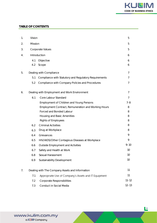

#### TABLE OF CONTENTS

| 1. | Vision                                                       |                                                     |           |  |  |
|----|--------------------------------------------------------------|-----------------------------------------------------|-----------|--|--|
| 2. | Mission                                                      |                                                     |           |  |  |
| 3. | Corporate Values                                             |                                                     |           |  |  |
| 4. | Introduction                                                 |                                                     |           |  |  |
|    | 4.1<br>Objective                                             |                                                     |           |  |  |
|    | 4.2                                                          | Scope                                               | 6         |  |  |
| 5. | Dealing with Compliance                                      |                                                     |           |  |  |
|    | Compliance with Statutory and Regulatory Requirements<br>5.1 |                                                     |           |  |  |
|    | 5.2                                                          | Compliance with Company Policies and Procedures     | 7         |  |  |
| 6. | Dealing with Employment and Work Environment                 |                                                     |           |  |  |
|    | 6.1                                                          | Core Labour Standard                                | 7         |  |  |
|    |                                                              | <b>Employment of Children and Young Persons</b>     | $7 - 8$   |  |  |
|    |                                                              | Employment Contract, Remuneration and Working Hours | 8         |  |  |
|    |                                                              | Forced and Bonded Labour                            | 8         |  |  |
|    |                                                              | Housing and Basic Amenities                         | 8         |  |  |
|    |                                                              | <b>Rights of Employees</b>                          | 8         |  |  |
|    | 6.2                                                          | <b>Criminal Activities</b>                          | 8         |  |  |
|    | 6.3                                                          | Drug at Workplace                                   | 8         |  |  |
|    | 6.4                                                          | Grievances                                          | 9         |  |  |
|    | 6.5                                                          | HIV/AIDS/Other Contagious Diseases at Workplace     | 9         |  |  |
|    | 6.6                                                          | Outside Employment and Activities                   | $9 - 10$  |  |  |
|    | 6.7                                                          | Safety and Health at Work                           | 10        |  |  |
|    | 6.8                                                          | Sexual Harassment                                   | 10        |  |  |
|    | 6.9                                                          | Sustainability Development                          | 10        |  |  |
| 7. | Dealing with The Company Assets and Information              |                                                     |           |  |  |
|    | Appropriate Use of Company's Assets and IT Equipment<br>7.1  |                                                     |           |  |  |
|    | 7.2                                                          | Corporate Responsibilities                          | $11 - 12$ |  |  |
|    | 7.3                                                          | Conduct in Social Media                             | $12 - 13$ |  |  |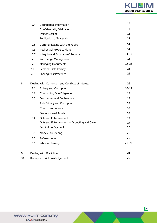

|     | 7.4                                               | Confidential Information                       | 13        |  |
|-----|---------------------------------------------------|------------------------------------------------|-----------|--|
|     |                                                   | <b>Confidentiality Obligations</b>             | 13        |  |
|     |                                                   | Insider Dealing                                | 13        |  |
|     |                                                   | <b>Publication of Materials</b>                | 14        |  |
|     | 7.5                                               | Communicating with the Public                  | 14        |  |
|     | 7.6                                               | Intellectual Property Right                    | 14        |  |
|     | 7.7                                               | Integrity and Accuracy of Records              | $14 - 15$ |  |
|     | 7.8                                               | Knowledge Management                           | 15        |  |
|     | 7.9                                               | <b>Managing Documents</b>                      | $15 - 16$ |  |
|     | 7.10                                              | Personal Data Privacy                          | 16        |  |
|     | 7.11                                              | <b>Sharing Best Practices</b>                  | 16        |  |
| 8.  | Dealing with Corruption and Conflicts of Interest | 16                                             |           |  |
|     | 8.1                                               | <b>Bribery and Corruption</b>                  | $16 - 17$ |  |
|     | 8.2                                               | <b>Conducting Due Diligence</b>                | 17        |  |
|     | 8.3                                               | <b>Disclosures and Declarations</b>            | 17        |  |
|     |                                                   | Anti-Bribery and Corruption                    | 18        |  |
|     |                                                   | Conflicts of Interest                          | 18        |  |
|     |                                                   | <b>Declaration of Assets</b>                   | 18        |  |
|     | 8.4                                               | Gifts and Entertainment                        | 19        |  |
|     |                                                   | Gifts and Entertainment - Accepting and Giving | 19        |  |
|     |                                                   | <b>Facilitation Payment</b>                    | 20        |  |
|     | 8.5                                               | Money Laundering                               | 20        |  |
|     | 8.6                                               | Referral Letter                                | 20        |  |
|     | 8.7                                               | Whistle-blowing                                | $20 - 21$ |  |
| 9.  |                                                   | Dealing with Discipline                        | 21        |  |
| 10. |                                                   | Receipt and Acknowledgement                    |           |  |
|     |                                                   |                                                |           |  |

 **4**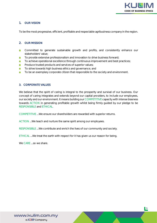

### 1. OUR VISION

To be the most progressive, efficient, profitable and respectable agribusiness company in the region.

#### 2. OUR MISSION

- Ω. Committed to generate sustainable growth and profits, and consistently enhance our stakeholders' value;
- To provide extensive professionalism and innovation to drive business forward; п.
- To achieve operational excellence through continuous improvement and best practices;  $\mathbf{r}$
- **Produce trusted products and services of superior values;**
- To strive towards high business ethics and governance; and  $\mathbf{r}$
- To be an exemplary corporate citizen that responsible to the society and environment. a.

#### 3. CORPORATE VALUES

We believe that the spirit of caring is integral to the prosperity and survival of our business. Our concept of caring integrates and extends beyond our capital providers, to include our employees, our society and our environment. It means building our COMPETITIVE capacity with intense biasness towards ACTION in generating profitable growth whilst being firmly guided by our pledge to be RESPONSIBLE and ETHICAL.

COMPETITIVE ...We ensure our shareholders are rewarded with superior returns.

ACTION ...We teach and nurture the same spirit among our employees.

RESPONSIBLE ...We contribute and enrich the lives of our community and society.

ETHICAL ...We treat the earth with respect for it has given us our reason for being.

We CARE ...so we share.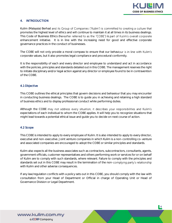

#### 4. INTRODUCTION

Kulim (Malaysia) Berhad and its Group of Companies ("Kulim") is committed to creating a culture that promotes the highest level of ethics and will continue to maintain it at all times in its business dealings. This Code of Business Ethics (hereafter referred to as the "COBE") is part of Kulim's overall corporate enhancement initiative. It is in line with the increasing need for good and effective corporate governance practices in the conduct of businesses.

The COBE will not only provide a moral compass to ensure that our behaviour is in line with Kulim's corporate values, but it also promotes legal compliance and procedural conformity.

It is the responsibility of each and every director and employee to understand and act in accordance with the policies, principles and standards detailed out in this COBE. The management reserves the right to initiate disciplinary and/or legal action against any director or employee found to be in contravention of the COBE.

#### 4.1 Objective

This COBE outlines the ethical principles that govern decisions and behaviour that you may encounter in conducting business dealings. The COBE is to guide you in achieving and retaining a high standard of business ethics and to display professional conduct while performing duties.

Although the COBE may not address every situation, it describes your responsibilities and Kulim's expectations of each individual to whom the COBE applies. It will help you to recognize situations that might lead towards a potential ethical issue and guide you to decide on next course of action.

#### 4.2 Scope

This COBE is intended to apply to every employee of Kulim. It is also intended to apply to every director, executive and non-executive. Joint venture companies in which Kulim is a non-controlling co-venture and associated companies are encouraged to adopt the COBE or similar principles and standards.

Kulim also expects all the business associates such as contractors, subcontractors, consultants, agents, government officials, customer representatives and others performing work or services for or on behalf of Kulim are to comply with such standards, where relevant. Failure to comply with the principles and standards set out in this COBE may result in the termination of the non-complying party's relationship with Kulim and other adverse consequences.

If any law/regulation conflicts with a policy sets out in this COBE, you should comply with the law with consultation from your Head of Department or Official in charge of Operating Unit or Head of Governance Division or Legal Department.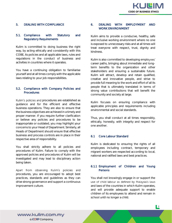

#### 5. DEALING WITH COMPLIANCE

#### 5.1. Compliance with Statutory and Regulatory Requirements

Kulim is committed to doing business the right way, by acting ethically and consistently with this COBE, its policies and all applicable laws, rules and regulations in the conduct of business and activities in countries where it operates.

You have a continuing obligation to familiarise yourself and at all times comply with the applicable laws relating to your job responsibilities.

#### 5.2. Compliance with Company Policies and Procedures

Kulim's policies and procedures are established as guidance and for the efficient and effective business operations. They are also to ensure that the business objectives are achieved in a timely and proper manner. If you require further clarification or believe any policies and procedures to be inappropriate or outdated, you may highlight your concerns to your Head of Department. Similarly, all Heads of Department should ensure that effective business and process controls are in place in their respective area of responsibility.

You shall strictly adhere to all policies and procedures of Kulim. Failure to comply with the approved policies and procedures of Kulim will be investigated and may lead to disciplinary action being taken.

Apart from observing Kulim's policies and procedures, you are encouraged to adopt best practices, standards and guidelines as they can drive strong governance and support a continuous improvement culture.

#### 6. DEALING WITH EMPLOYMENT AND WORK ENVIRONMENT

Kulim aims to provide a conducive, healthy, safe and inclusive working environment where no one is exposed to unnecessary risks and at all times will treat everyone with respect, trust, dignity and kindness.

Kulim is also committed to developing employees' career paths, bringing about immediate and longterm benefits to the organization and other stakeholders and ensuring a sustainable future. Kulim will attract, develop and retain qualified, creative and innovative people, and strive to provide full meaning to the work and effort of all its people that is ultimately translated in terms of strong value contributions that will benefit the community and society at large.

Kulim focuses on ensuring compliance with applicable principles and requirements including environmental and social standards.

Thus, you shall conduct at all times responsibly, ethically, honestly, with integrity and respect for one another.

#### 6.1 Core Labour Standard

Kulim is dedicated to ensuring the rights of all employees including contract, temporary and migrant workers are respected according to local, national and ratified laws and best practices.

#### 6.1.1 Employment of Children and Young **Persons**

You shall not knowingly engage in or support the use of child labour as defined by Malaysia's laws and laws of the countries in which Kulim operates, and will provide adequate support to enable children of its employees to attend and remain in school until no longer a child.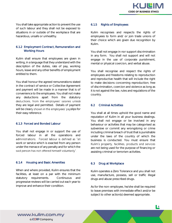

You shall take appropriate action to prevent the use of such labour and they shall not be exposed to situations in or outside of the workplace that are hazardous, unsafe or unhealthy.

#### 6.1.2 Employment Contract, Remuneration and Working Hours

Kulim shall ensure that employees are given in writing, in a language that they understand with the description of the duties, rate of pay, working hours, leave and any other benefits of employment entitled to them.

You shall honour the agreed remunerations stated in the contract of service or Collective Agreement and payment will be made in a manner that is of convenience to the employees. You shall not make any deductions apart from the statutory deductions, from the employees' salaries unless they are legal and permitted. Details of payment will be clearly shown in the employees' payslips for their easy reference.

#### 6.1.3 Forced and Bonded Labour

You shall not engage in or support the use of forced labour in all the operations and administrations. Forced labour is defined as "all work or service which is exacted from any person under the menace of any penalty and for which the said person has not offered himself voluntarily".

#### 6.1.4 Housing and Basic Amenities

When and where provided, Kulim ensures that the facilities, at least on a par with the minimum statutory requirements. Continuous and progressive reviews will be carried out each year to improve and enhance their condition.

#### 6.1.5 Rights of Employees

Kulim recognises and respects the rights of employees to form and/ or join trade unions of their choice which are given due recognition by Kulim.

You shall not engage in nor support discrimination in any form. You shall not support and will not engage in the use of corporate punishment, mental or physical coercion, and verbal abuse.

You shall recognise and respect the rights of employees and freedoms relating to reproduction and reproductive health that will include the right to make decisions concerning reproduction; free of discrimination, coercion and violence as long as it is not against the law, rules and regulations of the country.

#### 6.2 Criminal Activities

You shall at all times uphold the good name and reputation of Kulim in all your business dealings. You shall not engage or be involved in any behaviour or activities that may be categorised as subversive or commit any wrongdoing or crime including criminal breach of trust that is punishable under the laws of the country of which the business is conducted. You must ensure that Kulim's property, facilities, products and services are not being used for the purpose of financing or assisting criminal or terrorism activities.

#### 6.3 Drug at Workplace

Kulim operates a Zero Tolerance and you shall not use, manufacture, possess, sell or traffic illegal drugs and abuse prescribed drugs.

As for the non-employee, he/she shall be required to leave premises with immediate effect and/or be subject to other action(s) deemed appropriate.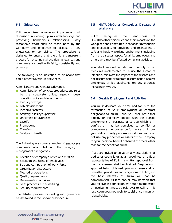

#### 6.4 Grievances

Kulim recognises the value and importance of full discussion in clearing up misunderstandings and preserving harmonious relationships. Every reasonable effort shall be made both by the Company and employee to dispose of any grievances or complaints. The procedure is designed to ensure that there is a transparent process for ensuring stakeholders' grievances and complaints are dealt with fairly, consistently and promptly.

The following is an indication of situations that could potentially stir up grievances:

Administrative and General Grievances

- **Administration of policies, procedures and rules** by the corporate office, agency house, operating units and departments;
- **Inequity of wages**
- **Job classifications**
- **Incentive systems**
- **Arbitrary rules by supervisor**
- **Unfairness of favoritism**
- **Lavoffs**
- **Promotions**
- **Transfers**
- Safety and health

The following are some examples of employee's complaints which fall into the category of management prerogatives;

- **Location of company's office or operation**
- Selection and hiring of employees
- Size and composition of work-force
- **C** Organizational structure
- **Method of operations**
- **Quality requirements**
- **Determination of prices**
- Sales practices and advertising
- Security requirements

The detailed process for dealing with grievances can be found in the Grievance Procedure.

#### 6.5 HIV/AIDS/Other Contagious Diseases at **Workplace**

Kulim recognises the seriousness of HIV/AIDs/other epidemics and their impacts on the workplace and committed in so far as is reasonable and practicable, to providing and maintaining a safe and healthy working environment including from the diseases aspect for all its employees and others who may be affected by Kulim's activities.

You shall support efforts and comply to all measures implemented to reduce the spread of infection, minimize the impact of the diseases and not discriminate or tolerate discrimination against employees or job applicants on any grounds, including HIV/AIDS.

#### 6.6 Outside Employment and Activities

You must dedicate your time and focus to the satisfaction of your employment or contract obligations to Kulim. Thus, you shall not either directly or indirectly engage with the outside employment or business or service which is in conflict or may be perceived to conflict or compromise the proper performance or impair your ability to fairly perform your duties. You shall not use any properties or assets of the Company for your personal benefit or benefit of others, other than for the benefit of Kulim.

If you are invited to serve on any associations or bodies or councils or as an appointed or official representative of Kulim, a written approval from the management shall be obtained. Despites such approval being obtained, you must ensure at all times that your duties and obligations to Kulim, and the best interests of Kulim will not be compromised. All fees and/or remuneration that you receive in connection with such membership or involvement must be paid over to Kulim. This restriction does not apply to social or communityrelated clubs.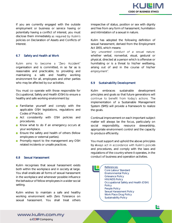If you are currently engaged with the outside employment or business or service having or potentially having a conflict of interest, you must disclose them immediately as required by Kulim's policies on Declaration of Assets and Conflicts of Interest.

#### 6.7 Safety and Health at Work

Kulim aims to become a "Zero Accident" organisation and is committed, in so far as is reasonable and practicable, to providing and maintaining a safe and healthy working environment for all, employees and other parties who may be affected by our activities.

You must co-operate with those responsible for Occupational, Safety and Health (OSH) to ensure a healthy and safe working environment by:

- **Familiarise yourself and comply with the** applicable OSH legislations, regulations and Codes of Practice.
- **Act consistently with OSH policies and** procedures.
- Know what to do if an emergency occurs at your workplace.
- **Ensure the safety and health of others (fellow** employees or external parties).
- **Promptly report to the management any OSH** related incidents or unsafe practices.

#### 6.8 Sexual Harassment

Kulim recognises that sexual harassment exists both within the workplace and in society at large. You shall eradicate all forms of sexual harassment in the workplace and whenever possible influence the behaviour of fellow employees in a wider social setting.

Kulim wishes to maintain a safe and healthy working environment with Zero Tolerance on sexual harassment. You shall treat others

irrespective of status, position or sex with dignity and free from any form of harassment, humiliation and intimidation of a sexual in nature.

Kulim has adopted the following definition of sexual harassment, derived from the Employment Act 1955, which means:

"any unwanted conduct of a sexual nature, *whether verbal, nonverbal, visual, gestural or physical, directed at a person which is offensive or humiliating or is a threat to his/her wellbeing, arising out of and in the course of his/her*  employment".

#### 6.9 Sustainability Development

Kulim embraces sustainable development principles and goals so that future generations will continue to benefit from today's actions. The implementation of a Sustainable Management System (SMS) will provide a framework to realize the goals.

Continual improvement on each important subject matter will always be the focus, particularly on social responsibility, resource stewardship, appropriate environment control and the capacity to produce efficiently.

You must support and uphold the above principles by always act in accordance with Kulim's policies and procedures, and comply with the laws and regulations of the country where it operates, in the conduct of business and operation activities.

*References:*

*Core Labour Standard Environmental Policy Grievance Policy HIV/AIDS Policy Occupational Safety and Health (OSH) Policy People Policy Sexual Harassment Policy Work Place Drug Policy Sustainability Policy*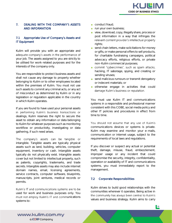

#### 7. DEALING WITH THE COMPANY'S ASSETS AND INFORMATION

#### 7.1 Appropriate Use of Company's Assets and IT Equipment

Kulim will provide you with an appropriate and adequate company's assets in the performance of your job. The assets assigned to you are strictly to be utilised for work-related purposes and for the interests of the company only.

You are responsible to protect business assets and shall not cause any damage to property whether belonging to Kulim or to other employees located within the premises of Kulim. You must not use such assets to commit any criminal acts, or any act of misconduct as determined by Kulim or in any legislation or regulation applicable in the country in which Kulim operates.

If you are found to have used your personal assets in performing Kulim's business transactions or dealings, Kulim reserves the right to secure the asset to obtain any information or data belonging to Kulim for whatever purposes such as monitoring workflow or productivity, investigating or data gathering, if such need arises.

The company's assets can be tangible or intangible. Tangible assets are typically physical assets such as land, building, vehicles, computer equipment, inventory or cash. Intangible assets typically do not physically exist. Intangible assets cover but not limited to intellectual property, such as patents, copyrights, trademarks, and trade secrets. Intangible assets may also include internet domain names, email, licensing agreements, service contracts, computer software, blueprints, manuscripts, joint ventures, medical records or permits.

Kulim's IT and communications systems are to be used for work and business purposes only. You must not employ Kulim's IT and communications systems to:

- conduct fraud:
- **run your own business:**
- view, download, copy, illegally share, process or post information in a way that infringes the relevant content provider's intellectual property rights;
- send chain letters, make solicitations for money or gifts, or make personal offers to sell products, for charitable fundraising campaigns, political advocacy efforts, religious efforts, or private non-Kulim commercial purposes;
- commit "cybercrimes", such as spam attacks, hacking, IT sabotage, spying, and creating or sending viruses;
- send malicious rumours or transmit derogatory or indecent materials; or
- otherwise engage in activities that could damage Kulim's business or reputation.

You must use Kulim IT and communications systems in a responsible and professional manner consistent with this COBE, social media policy and other IT policies and procedures in effect from time to time.

You should not assume that any use of Kulim's communications devices or systems is private. Kulim may examine and monitor your e-mails, communication or internet usage, subject to the requirements of local laws and regulations.

If you discover or suspect any actual or potential theft, damage, misuse, fraud, embezzlement, improper usage or any incident that could compromise the security, integrity, confidentiality, operation or availability of IT and communications systems, you must immediately report to the management.

#### 7.2 Corporate Responsibilities

Kulim strives to build good relationships with the communities wherever it operates. Being active in the community has always been central to Kulim's values and business strategy. Kulim aims to carry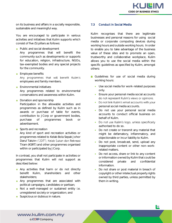

on its business and affairs in a socially responsible, sustainable and meaningful way.

You are encouraged to participate in various activities and initiatives that Kulim supports which consist of five (5) pillars as follows:

- **Public and social development** Any programmes that will benefit the community such as developments or supports for education, religion, infrastructure, NGOs, tax-exempted bodies and any special projects for the community.
- **Employee benefits** Any programmes that will benefit Kulim's employees and family members.
- **Environmental initiatives** Any programmes related to environmental conservations and awareness within Kulim.
- Donation and sponsorship Participation in the allowable activities and programmes as defined by Kulim such as in awards or purchase of table for events, contribution to JCorp or government bodies, purchase of programmes book or advertisement.
- **Sports and recreation**

Any kind of sport and recreation activities or programmes related to Kelab Bola Sepak Johor Darul Takzim ("JDT"), Kelab Sukan dan Rekreasi Tiram (KSRT) and other programmes organised within or participated by JCorp.

In contrast, you shall not participate in activities or programmes that Kulim will not support as described below:

- **Any activities that harm or do not directly** benefit Kulim, shareholders and other stakeholders;
- **Any programmes that are associated with** political campaigns, candidates or partisan;
- Not a well-managed or sustained entity i.e. unregistered society or organization; and
- Suspicious or dubious in nature.

#### 7.3 Conduct in Social Media

Kulim recognises that there are legitimate businesses and personal reasons for using social media or corporate computing devices during working hours and outside working hours. In order to enable you to take advantage of the business value of these sites and to promote an open, trustworthy and collaborative workplace, Kulim allows you to use the social media within the specific guidelines as specified by Kulim, amongst others:

- Guidelines for use of social media during working hours:
	- Use social media for work-related purposes only.
	- Ensure your personal media social accounts do not represent Kulim's views or opinions.
	- Do not link Kulim's email accounts with your personal social media accounts.
	- Do not use your personal social media accounts to conduct official business on behalf of Kulim.
	- Do not use Kulim's logo, unless specifically authorised to do so.
	- Do not create or transmit any material that might be defamatory, inflammatory, and objectionable or incur liability to Kulim.
	- Do not post, broadcast, send, upload any inappropriate content or other non-workrelated matters.
	- Do not access, share or link to any content or information owned by Kulim that could be considered private and confidential information.
	- Do not share or post material in breach of copyright or other intelectual property rights owned by third parties, unless permitted by them in writing.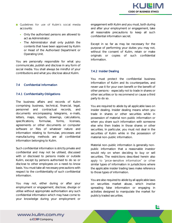- **Canal Guidelines for use of Kulim's social media** accounts:
	- Only the authorised persons are allowed to act as Administrator.
	- The Administrator shall only publish the contents that have been approved by Kulim or Head of the Authorised Department or Operating Unit.

You are personally responsible for what you communicate, publish and disclose in any form of social media. You shall always be mindful of your contributions and what you disclose about Kulim.

#### 7.4 Confidential Information

#### 7.4.1 Confidentiality Obligations

The business affairs and records of Kulim comprising business, technical, financial, legal, personnel and contractual records, and documents encompassing telegrams, e-mails, letters, maps, reports, drawings, calculations, specifications, formulae, forms, licenses, agreements or other documents or computer software or files of whatever nature and information relating to formulae, processes and manufacturing methods are all confidential information belonging to Kulim.

Such confidential information is strictly private and confidential and may not be utilised, discussed with or disclosed to persons inside or outside Kulim, except by persons authorised to do so or disclose to other employees on a need-to-know basis. You must take all necessary precautions with respect to the confidentiality of such confidential information.

You may not, either during or after your employment or engagement, disclose, divulge or utilise without appropriate authorisation any such confidential information which may have come to your knowledge during your employment or engagement with Kulim and you must, both during and after your employment or engagement, take all reasonable precautions to keep all such confidential information secret.

Except in so far as may be necessary for the purpose of performing your duties you may not, without the consent of Kulim, retain or make originals or copies of such confidential information.

#### 7.4.2 Insider Dealing

You must protect the confidential business information of Kulim and its counterparties, and never use it for your own benefit or the benefit of other persons - especially not to trade in shares or other securities or to recommend or cause a third party to do so.

You are required to abide by all applicable laws on insider dealing. Insider dealing means when you trade in shares or other securities while in possession of material non-public information or when you share such information with someone else who then trades in those shares or other securities. In particular, you must not deal in the securities of Kulim while in the possession of material non-public information.

Material non-public information is generally nonpublic information that a reasonable investor would rely on when deciding to buy or sell securities. The restrictions described herein also apply to "price-sensitive information" or other similar types of information in jurisdictions where the applicable insider trading laws make reference to those types of information.

You are also required to abide by all applicable laws on securities market abuse, which involve spreading false information or engaging in activities designed to manipulate the market for publicly traded securities.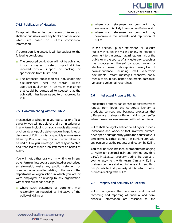

#### 7.4.3 Publication of Materials

Except with the written permission of Kulim, you shall not publish or write any books or other works which are based on Kulim's confidential information.

If permission is granted, it will be subject to the following conditions:

- The proposed publication will not be published in such a way as to state or imply that it has received official support or backing or sponsorship from Kulim; and
- **The proposed publication will not, under any** circumstances, bear the words "Kulim's approved publication" or words to that effect that could be construed to suggest that the publication has been agreed to or approved by Kulim.

#### 7.5 Communicating with the Public

Irrespective of whether in your personal or official capacity, you will not either orally or in writing or in any form (including on social media sites) make or circulate any public statement on the policies or decisions of Kulim or discuss publicly any measure taken by Kulim or any official matter taken or carried out by you, unless you are duly appointed or authorised to make such statement on behalf of Kulim.

You will not, either orally or in writing or in any other form (unless you are appointed or authorised as aforesaid), make any public statement or comment on any matter relating to the work of the department or organisation in which you are or were employed, or relating to any organisation with which Kulim has dealings:

where such statement or comment may reasonably be regarded as indicative of the policy of Kulim; or

- where such statement or comment may embarrass or is likely to embarrass Kulim; and
- where such statement or comment may compromise the interests and reputation of Kulim.

In this section, "public statement" or "discuss publicly" includes the making of any statement or comment to the press, magazines, journals or the public or in the course of any lecture or speech or the broadcasting thereof by sound, vision or electronic means. It also applies to every kind of correspondence including mail, electronic documents, instant messages, websites, social media tools, blogs, paper documents, facsimile, voice and voicemail recordings.

#### 7.6 Intellectual Property Rights

Intellectual property can consist of different types ranges, from logos and corporate identity to products, services and business processes that differentiate business offering. Kulim can suffer when these creations are used without permission.

Kulim shall be legally entitled to all rights in ideas, inventions and works of that invented, created, developed or designed by you in the course of your employment, either alone or in conjunction with any person or at the request or direction by Kulim.

You shall not use intellectual properties belonging to Kulim for personal gain and infringe any third party's intellectual property during the course of your employment with Kulim. Similarly, Kulim's business partners shall not infringe Kulim and third party's intellectual property rights when having business dealing with Kulim.

#### 7.7 Integrity and Accuracy of Records

Kulim recognises that accurate and honest recording and reporting of financial and nonfinancial information are essential to the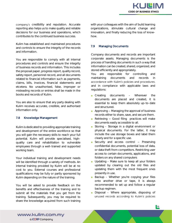company's credibility and reputation. Accurate reporting also helps us to make quality and reliable decisions for our business and operations, which contributes to the continued business success.

Kulim has established and maintained procedures and controls to ensure the integrity of the records and information.

You are responsible to comply with all internal procedures and controls and ensure the integrity of business records and information. This includes the proposal paper, progress report, quality record, safety report, personnel record, and all documents related to financial information such as payments, claims, bills, invoices, financial statements and etcetera. No unauthorised, false, improper or misleading records or entries shall be made in the books and records of Kulim.

You are also to ensure that any party dealing with Kulim receives accurate, credible, and authorised information only.

#### 7.8 Knowledge Management

Kulim is dedicated to providing appropriate training and development of the entire workforce so that you will gain the necessary skills to reach your full potential. Kulim will provide specialised, highquality care and rehabilitation to vulnerable employees through a well-trained and supported working team.

Your individual training and development needs will be identified through a variety of methods. An internal training provided by Kulim will be at no cost to you. External courses and professional qualifications may be fully or partly sponsored by Kulim depending on the nature of the training.

You will be asked to provide feedback on the benefits and effectiveness of the training and to submit all the materials that you get from the training. Subsequently, you may be required to share the knowledge acquired from such training with your colleagues with the aim of build learning organizations, stimulate cultural change and innovation, and finally reducing the loss of knowhow.

#### 7.9 Managing Documents

Company documents and records are important corporate assets. Managing documents is the process of handling documents in such a way that information can be created, shared, organized, and stored efficiently and appropriately.

You are responsible for controlling and maintaining documents and records in accordance with Kulim's policies and procedures, and in compliance with applicable laws and regulations:

- Creating documents Wherever the documents are placed and created, it is essential to keep them absolutely up-to-date and structured.
- Approving  $-$  Managing the approval of business records either to share, save, and secure them.
- Retrieving  $-$  Good filing practices will make documents easily accessible to all.
- **Storing Storage in a digital environment or** physical documents. For the latter, it may include the use storage boxes and label them clearly and for a specific use.
- Security and access control  $-$  Preserving confidential documents, potential loss of data, or data theft from competitors. Restricting user access to certain documents, applications, and folders on any shared computers
- **Updating Make sure to keep all your folders** updated by clearing out the old files and updating them with the most frequent ones presently in use.
- **Backup Whether you're copying your files** onto another drive or tape, it is always recommended to set up and follow a regular backup regimen.
- Disposal Where appropriate, disposing of unused records according to Kulim's policies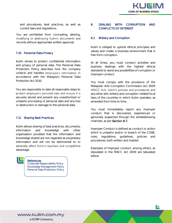and procedures, best practices, as well as current laws and regulations.

You are prohibited from concealing, altering, modifying or destroying Kulim's documents and records without appropriate written approval.

#### 7.10 Personal Data Privacy

Kulim strives to protect confidential information and privacy of personal data. The Personal Data Protection Policy describes how the company collects and handles employee's information in accordance with the Malaysia's Personal Data Protection Act 2010.

You are responsible to take all reasonable steps to protect employee's personal data and ensure it is securely stored and prevent any unauthorized or unlawful processing of personal data and any loss or destruction or damage to the personal data.

#### 7.11 Sharing Best Practices

*References:* 

Kulim allows sharing of best practices, documents, information and knowledge with other organisation provided that the information and knowledge shared are not regarded as proprietary information and will not be detrimental to or adversely affect Kulim's business and competitive advantage.

*Corporate Responsibility Policy Knowledge Management Policy Personal Data Protection Policy*

#### 8. DEALING WITH CORRUPTION AND CONFLICTS OF INTEREST

#### 8.1 Bribery and Corruption

Kulim is obliged to uphold ethical principles and values and create a business environment that is free from corruption.

At all times, you must conduct activities and business dealings with the highest ethical standards to avoid any possibilities of corruption or improper conduct.

You must comply with the provisions of the Malaysian Anti-Corruption Commission Act 2009 (MACC Act), Kulim's policies and procedures and any other anti-bribery and corruption-related local laws of the countries in which Kulim operates, as amended from time to time.

You must immediately report any improper conduct that is discovered, experienced or genuinely suspected through the whistleblowing channels, as per *Section 8.7.*

Improper Conduct is defined as conduct or action which is unlawful and/or in breach of the COBE, rules, regulations, guidelines, policies and procedures, both written and implied.

Examples of improper conduct, among others, as stipulated in the MACC Act 2009 are tabulated below: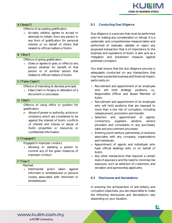

#### A ("Ambil")

Offence of accepting gratification.

**Accepts, obtains, agrees to accept or** attempts to obtain, from any person in any form of gratification for personal interest or on behalf of others that related to official matters of Kulim.

#### B ("Beri")

Offence of giving gratification.

Gives or agrees to give, or offers to any person whether for benefit of that person or of another person that related to official matters of Kulim.

#### C ("False Claim")

Offence of intending to deceive principal.

**False Claim or forgery or alteration of a** document or processes.

#### *D* ("Diri")

Offence of using office or position for gratification.

Abuse of power or authority, actions or omissions which are considered to be against the interest of Kulim, conflicts of interest and misuse or abuse of Kulim properties or resources or confidential information.

#### E ("Engaged")

Engaged in improper conduct.

**Allowing or assisting a person to** commit any of the given instances of improper conduct.

#### F ("Fear")

Reprisal.

**Detrimental action taken against** informant or whistleblower or persons closely associated with informant or whistleblower.

#### 8.2 Conducting Due Diligence

Due diligence is a process that must be performed prior to making any consideration or refusal. It is a systematic and comprehensive measure taken and performed to evaluate, validate or reject any proposed transaction that is of importance to the business and operations of Kulim. It also acts as a mitigation and prevention measure against potential corruption.

You shall ensure that the due diligence process is adequately conducted on any transactions that may have a potential business and financial impact, particularly on:

- Recruitment and appointment of an employee who will hold strategic positions, i.e., Responsible Officer and Board Member of Kulim.
- Recruitment and appointment of an employee who will hold positions that are exposed to more than a low risk of corruption, including redeployment, promotion and transfer.
- Selection and appointment of agents, contractors, suppliers, vendors, service providers and consultants in any purchases, sales and procurement processes.
- **Entering a joint venture, partnership, or business** associates with any company, organizations and individuals.
- **Appointment of agents and individuals who** have official dealings with, or on behalf of Kulim.
- **Any other transactions that required a certain** level of assurance and the need to minimise risk exposure, such as selection of customers, and donation and sponsorship applicants.

#### 8.3 Disclosures and Declarations

In ensuring the achievement of anti-bribery and corruption objectives, you are responsible to make the following disclosures and declarations vary depending on your situation.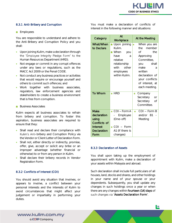#### 8.3.1 Anti-Bribery and Corruption

#### **Employees**

You are responsible to understand and adhere to the Anti-Bribery and Corruption Policy and you shall:

- Upon joining Kulim, make a declaration through the "Employee Integrity Pledge Form" to the Human Resources Department (HRD).
- Not engage or commit in any corrupt offences under any laws or regulations, such as the MACC Act 2009 or the Penal CODE.
- Not conduct any business practices or activities that would require or encourage yourself and others to commit such offences; and
- Work together with business associates, regulators, law enforcement agencies and stakeholders to create a business environment that is free from corruption.
- **Business Associates**

Kulim expects all business associates to refrain from bribery and corruption. To foster this aspiration, business associates are required to ensure that they:

- Shall read and declare their compliance with Kulim's Anti-bribery and Corruption Policy via the Vendor or Client Letter of Declaration Form.
- Shall not, either directly or indirectly, promise, offer, give, accept or solicit any bribe or an improper advantage (whether financial or otherwise) to or from any person in Kulim.
- Shall declare their bribery records in Vendor Registration Form.

#### 8.3.2 Conflicts of Interest (COI)

You should avoid any situation that involves, or appears to involve, a conflict between your personal interests and the interests of Kulim to avoid circumstances that might affect your judgement or impartiality in performing your duties.

You must make a declaration of conflicts of interest in the following manner and situations:

| Category           | At<br>Workplace    | At the Meeting      |  |  |
|--------------------|--------------------|---------------------|--|--|
| What/When          | Upon joining<br>n  | When you are<br>٠   |  |  |
| to Declare         | Kulim.             | the<br>member       |  |  |
|                    | When<br>you        | <b>of</b><br>the    |  |  |
|                    | have<br>a          | Approving           |  |  |
|                    | relative           | Committee,          |  |  |
|                    | relationship       | shall<br>you        |  |  |
|                    | with<br>other      | make<br>a           |  |  |
|                    | employees          | written             |  |  |
|                    | within Kulim.      | declaration of      |  |  |
|                    |                    | your conflicts      |  |  |
|                    |                    | of interest, at     |  |  |
|                    |                    | each meeting.       |  |  |
| To Whom            | $\blacksquare$ HRD | Company<br>٠        |  |  |
|                    |                    | Secretary<br>or     |  |  |
|                    |                    | Secretary<br>Оf     |  |  |
|                    |                    | Committee.          |  |  |
| Make               | $COI$ - Form A     | $COI$ – Form B<br>٠ |  |  |
| declaration        | Employee           | and/or $B1$         |  |  |
| using              | (One-off)          | Meeting             |  |  |
| Conflicts of       |                    |                     |  |  |
| <b>Interest</b>    | $COI - Form$       |                     |  |  |
| <b>Declaration</b> | A1 (If there is    |                     |  |  |
| Form               | changes)           |                     |  |  |

#### 8.3.3 Declaration of Assets

You shall upon taking up the employment of appointment with Kulim, make a declaration of your assets within Malaysia and abroad.

Such declaration shall include full particulars of all houses, land, stocks and shares, and other holdings in your name and of your spouse or your dependents. Subsequently, you shall update any changes in such holdings once a year or when there are any changes within fourteen (14) days of such changes via "Assets Declaration Form".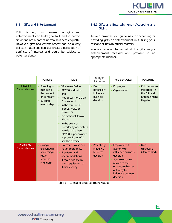

#### 8.4 Gifts and Entertainment

Kulim is very much aware that gifts and entertainment can build goodwill, and in certain situations are a part of normal business etiquette. However, gifts and entertainment can be a very delicate matter and can also create a perception of conflicts of interest and could be subject to potential abuse.

#### 8.4.1 Gifts and Entertainment - Accepting and **Giving**

*Table 1* provides you guidelines for accepting or providing gifts or entertainment in fulfilling your responsibilities on official matters.

You are required to record all the gifts and/or entertainment received and provided in an appropriate manner.

|                                    | Purpose                                                                                               | Value                                                                                                                                                                                                                                                                                                                                            | Ability to<br>influence                                    | Recipient/Giver                                                                                                                                                              | Recording                                                                     |
|------------------------------------|-------------------------------------------------------------------------------------------------------|--------------------------------------------------------------------------------------------------------------------------------------------------------------------------------------------------------------------------------------------------------------------------------------------------------------------------------------------------|------------------------------------------------------------|------------------------------------------------------------------------------------------------------------------------------------------------------------------------------|-------------------------------------------------------------------------------|
| Allowable<br><b>Circumstances</b>  | Branding or<br>marketing<br>the product<br>or company<br><b>Building</b><br>$\bullet$<br>relationship | • Of Minimal Value.<br>RM200 and below;<br>$\bullet$<br>and<br>Not occur more than<br>3 times; and<br>In the form of 3F<br>$\bullet$<br>(Foods, Fruits or<br>Flower) or<br>Promotional item or<br>Plaque<br>In the event of<br>uncertainty or involved<br>item is more than<br>RM200, a prior written<br>approval from HOD<br>shall be obtained. | Do not<br>potentially<br>influence<br>business<br>decision | Employee<br>Organization                                                                                                                                                     | Full disclosure<br>(recorded) in<br>the Gift and<br>Entertainment<br>Register |
| Prohibited<br><b>Circumstances</b> | Giving in<br>exchange for<br>something in<br>return<br>(corrupt<br>intention)                         | Excessive, lavish and<br>not proportionate<br>Free fares and<br>accommodations<br>Illegal or violate by-<br>laws, regulations, or<br>Kulim's policy                                                                                                                                                                                              | Potentially<br>influence<br>business<br>decision           | Employee with<br>authority to<br>influence business<br>decision<br>Spouse or person<br>related to the<br>employee that has<br>authority to<br>influence business<br>decision | $Non-$<br>disclosure<br>(Unrecorded)                                          |

*Table 1* Gifts and Entertainment Matrix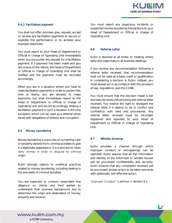

#### 8.4.2 Facilitation payment

You shall not offer, promise, give, request, accept or receive any facilitation payments to secure or expedite the performance or to achieve your business objectives.

You must report to your Head of Department or Official in charge of Operating Unit immediately when you encounter any request for a facilitation payment. If a payment has been made and you are unsure of the nature, the Head of Department or Official in charge of Operating Unit shall be notified and the payment must be recorded accordingly.

When you are in a situation where you have to make facilitation payments in order to protect life, limb or liberty, you are allowed to make payments, but shall immediately report to the Head of Department or Official in charge of Operating Unit and record accordingly. Making a facilitation payment in such a situation is the only exception which can be used as a defense when faced with allegations of bribery and corruption.

#### 8.5 Money Laundering

Money laundering is a process of converting cash or property derived from criminal activities to give it a legitimate appearance. It is a process to clean 'dirty' money in order to disguise its criminal origin.

Kulim strongly objects to unethical practices related to money laundering, including dealing in the proceeds of criminal activities.

You are expected to conduct reasonable due diligence on clients and third parties to understand their business background and to determine the origin and destination of money, property and services.

You must report any suspicious incidents or suspected money laundering transactions to your Head of Department or Official in charge of Operating Unit.

#### 8.6 Referral Letter

Kulim is devoted at all times, to treating others fairly and objectively in all business dealings.

If you receive any recommendation following a referral letter received, that recommendation shall not be used as a basis, merit or qualification in considering a decision in Kulim. Instead, you must always act in accordance with the provision of law, regulations, and this COBE.

You must ensure that the decision made is fair and was not solely influenced by the referral letter received. You reserve the right to disregard the referral letter if it deems to be in conflict and contradicts with laws and procedures. Any referral letter received must be recorded, registered and reported to your Head of Department or Official in charge of Operating Unit.

#### 8.7 Whistle-blowing

Kulim provides a channel through which improper conduct or wrongdoings can be reported. Kulim assures that all the information and identity of the informant or whistle-blower will be processed confidentially and securely. Kulim ensures that any complaints received will be processed, proper action to be taken and ends with systematic and effective action.

"Improper Conduct" is defined in Section 8.1.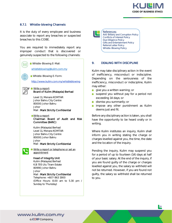

#### 8.7.1 Whistle-blowing Channels

It is the duty of every employee and business associate to report any breaches or suspected breaches to this COBE.

You are required to immediately report any improper conduct that is discovered or genuinely suspected to the following channels:





*References: Anti-Bribery and Corruption Policy Conflicts of Interest Policy Due Diligence Policy Gifts and Entertainment Policy Referral Letter Policy Whistle-Blowing Policy*

#### 9. DEALING WITH DISCIPLINE

Kulim may take disciplinary action in the event of inefficiency, misconduct or indiscipline. Depending on the seriousness of the inefficiency, misconduct or indiscipline, Kulim may either:

- **give you a written warning; or**
- suspend you without pay for a period not exceeding 14 days; or
- dismiss you summarily; or
- **n** impose any other punishment as Kulim deems just and fit.

Before any disciplinary action is taken, you shall have the opportunity to be heard orally or in writing.

Where Kulim institutes an inquiry, Kulim shall inform you in writing stating the charge or charges levelled against you, the time, the date and the location of the inquiry.

Pending the inquiry, Kulim may suspend you for a period of up to fourteen (14) days at half of your basic salary. At the end of the inquiry, if you are found guilty of the charge or charges levelled against you, the salary so withheld will not be returned. However, if you are found not guilty, the salary so withheld shall be returned to you.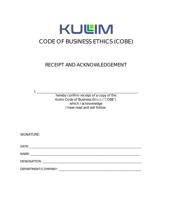

## RECEIPT AND ACKNOWLEDGEMENT

hereby confirm receipt of a copy of the Kulim Code of Business Ethics ("COBE"), which I acknowledge I have read and will follow.

SIGNATURE:

 $\mathbf{I}_i$ 

DATE: \_\_\_\_\_\_\_\_\_\_\_\_\_\_\_\_\_\_\_\_\_\_\_\_\_\_\_\_\_\_\_\_\_\_\_\_\_\_\_\_\_\_\_\_\_\_\_\_\_\_\_\_\_\_\_\_\_\_\_\_\_\_

NAME: \_\_\_\_\_\_\_\_\_\_\_\_\_\_\_\_\_\_\_\_\_\_\_\_\_\_\_\_\_\_\_\_\_\_\_\_\_\_\_\_\_\_\_\_\_\_\_\_\_\_\_\_\_\_\_\_\_\_\_\_\_

DESIGNATION: \_\_\_\_\_\_\_\_\_\_\_\_\_\_\_\_\_\_\_\_\_\_\_\_\_\_\_\_\_\_\_\_\_\_\_\_\_\_\_\_\_\_\_\_\_\_\_\_\_\_\_\_\_\_\_

DEPARTMENT/COMPANY: \_\_\_\_\_\_\_\_\_\_\_\_\_\_\_\_\_\_\_\_\_\_\_\_\_\_\_\_\_\_\_\_\_\_\_\_\_\_\_\_\_\_